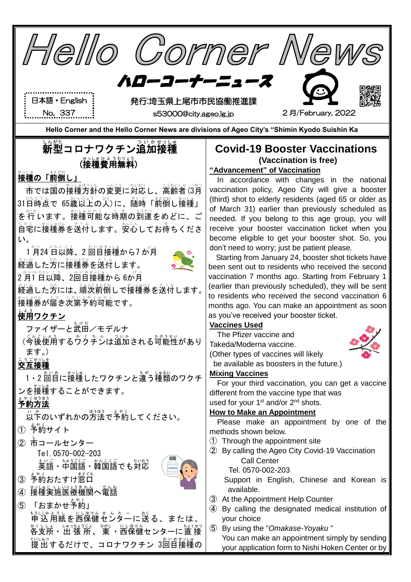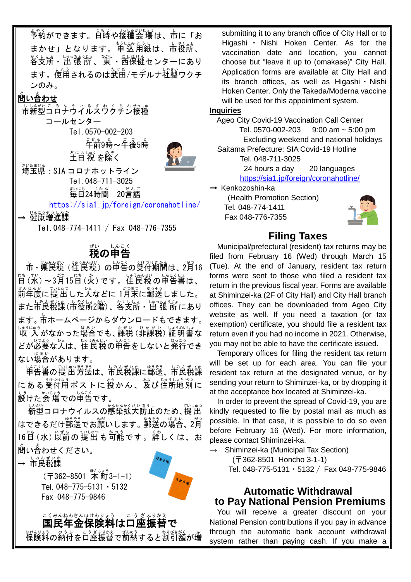<u>、</u><br>予約ができます。日時や接種会 場は、市に「お まかせ」となります。 申込用紙は、市役所、 。、<br>各支所・出 張 所 、 東 ・西保健センターにあり ます。使用されるのは武曲/モデルナ衽製ワクチ ンのみ。

### 問い合わせ と あ

市 し 新型 しんがた コロナウイルスワクチン ころなういるすわくちん 接種 せっしゅ コールセンター Tel.0570-002-203  $\tilde{\mathsf{F}}$ 前 $9$ 時~午後 $5$ 時



<sub>どにちしゅく</sub><br>土日 祝 を除く 埼玉県 さいたまけん :SIA コロナホットライン Tel.048-711-3025 まいに<u>ものじかん。</u><br>毎日24時間 20言語

<https://sia1.jp/foreign/coronahotline/>

→ 健康増進課

Tel.048-774-1411 / Fax 048-776-7355

# <sub>む</sub>。<br>**税の申告**

市 • 県民税(住民税)の申告の受付期間は、2月16 管(张)~3月15旨(少)です。崔食税の単告書は、 <sub>むんねんど</sub><br>前年度に提出した人などに 1月末に郵送しました。 また市食説譲(市役所2階)、答支所・出"張"所にあり ます。市 し ホームページからダウンロードもできます。 しゅうにゅう<br>収 入がなかった場合でも、課税 (非課税) 証明書な どが必要な人は、「性民税の申告をしないと発行でき ない場合があります。

しょくしょうほうほうほうほう しょくばい にある受付用ポストに投かん、笈び住所地別に まぅ<br>設けた会 場での申告です。

い然っロナウイルスの感染拡大防止のため、提出 はできるだけ郵送でお巓いします。 郵送の場合、2月 16旨 (水) 以前の猩出も哿能です。詳しくは、お 問い合わせ と あ ください。

 $\rightarrow$  市民税課

(〒362-8501 本町3-1-1) Tel. 048-775-5131・5132 Fax 048-775-9846



こくみんねんきんほけんりょう こうざふりかえ<br>国民年金保険料は口座振替で 保険料の納付を口座振替で前納すると割引額が増 submitting it to any branch office of City Hall or to Higashi ・ Nishi Hoken Center. As for the vaccination date and location, you cannot choose but "leave it up to (omakase)" City Hall. Application forms are available at City Hall and its branch offices, as well as Higashi・Nishi Hoken Center. Only the Takeda/Moderna vaccine will be used for this appointment system.

#### **Inquiries**

Ageo City Covid-19 Vaccination Call Center Tel. 0570-002-203 9:00 am ~ 5:00 pm Excluding weekend and national holidays Saitama Prefecture: SIA Covid-19 Hotline

Tel. 048-711-3025

24 hours a day 20 languages <https://sia1.jp/foreign/coronahotline/>

→ Kenkozoshin-ka

(Health Promotion Section) Tel. 048-774-1411 Fax 048-776-7355



### **Filing Taxes**

Municipal/prefectural (resident) tax returns may be filed from February 16 (Wed) through March 15 (Tue). At the end of January, resident tax return forms were sent to those who filed a resident tax return in the previous fiscal year. Forms are available at Shiminzei-ka (2F of City Hall) and City Hall branch offices. They can be downloaded from Ageo City website as well. If you need a taxation (or tax exemption) certificate, you should file a resident tax return even if you had no income in 2021. Otherwise, you may not be able to have the certificate issued.

Temporary offices for filing the resident tax return will be set up for each area. You can file your resident tax return at the designated venue, or by sending your return to Shiminzei-ka, or by dropping it at the acceptance box located at Shiminzei-ka.

In order to prevent the spread of Covid-19, you are kindly requested to file by postal mail as much as possible. In that case, it is possible to do so even before February 16 (Wed). For more information, please contact Shiminzei-ka.

 $\rightarrow$  Shiminzei-ka (Municipal Tax Section)

(〒362-8501 Honcho 3-1-1)

Tel. 048-775-5131・5132 / Fax 048-775-9846

### **Automatic Withdrawal to Pay National Pension Premiums**

You will receive a greater discount on your National Pension contributions if you pay in advance through the automatic bank account withdrawal system rather than paying cash. If you make a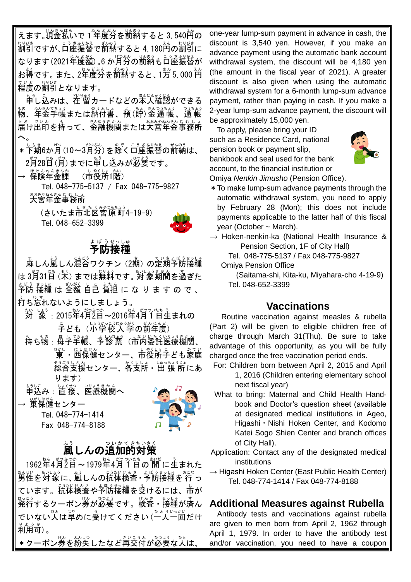えます。現金払いで 1<sup>\*</sup>牟度分を斮納すると 3,540首の 割引 わりびき ですが、口座 こうざ 振替 ふりかえ で前納 ぜんのう すると 4,180円 えん の割引 わりびき に なります(2021年度額)。6 か月分の前納も口座振替が お得 とく です。また、2年度分 ね ん ど ぶ ん を前納 ぜんのう すると、1万 5,000 円 まん えん 程度 ていど の割引 わりびき となります。

もうし込みは、、、、、、。<br>申し込みは、在留カードなどの本人確認ができる 物 もの 、年金 ねんきん 手帳 てちょう または納付書 の う ふ し ょ 、預 よ (貯 ちょ )金 きん 通 帳 つうちょう 、通 帳 つうちょう 届け出印 と ど でいん を持って も 、金融 きんゆう 機関 きかん または大宮 おおみや 年金 ねんきん 事務所 じむしょ  $\mathcal{L}_{\circ}$ 

\* 下期6か月 (10~3月分) を除く口座振替の前納は、 2月28日(月)までに申し込みが必要です。

 $\rightarrow \,$  保険年金課 (市後所1階) Tel. 048-775-5137 / Fax 048-775-9827 おみやねをもじむしょ<br>大宮年金事務所

(さいたま市北区営惊齢4-19-9) Tel. 048-652-3399



# ょ<sub>ぼうせっしゅ</sub><br>予防接種

■ ましん嵐しん混合ワクチン (2期) の定期予防接種 は 3月31日 (木) までは無料です。 郊象 期間を過ぎた ょ。。<br>予防 接種 は 全額 自己 負担 に な り ま す の で 、 。<br>打ち忘れないようにしましょう。

- 、<br>対 象 : 2015年4月2日~2016年4月1日生まれの <sub>テ</sub>ども(小学校入学の前年度)
- も、も。。馬上登詩、も談詩、はいたくいおまかん。 。」。<br>東・西保健センター、市役所字ども家庭 <sub>おおもえ。</sub><br>総合支援センター、各支所・出 張 所にあ ります)

もうしこ ちょくせつ いりょうきゕん<br>申込み:直 接、医療機関へ

→ <sup>びしほけん</sup><br>→ 東保健センター

Tel. 048-774-1414 Fax 048-774-8188



# <u>、</u><br>風しんの追加的対策

1962牮4月?日~1979牮4角丫目の 间に生まれた 勤性を対象に、嵐しんの抗体検査 • <sup>与</sup>防接種を行っ ています。記称は着や予防接種を受けるには、市が ……<br>発行するクーポン券が必要です。検査・接種が済ん でいない $\breve{\lambda}$ は単めに受けてください $(\overset{\circ}{-}\breve{\lambda} - \overset{\circ}{\Pi})^{\iota\circ\gamma}$ ,<br>利用**可**)。

\*クーポン券を紛矢したなど再交付が必要な人は、

one-year lump-sum payment in advance in cash, the discount is 3,540 yen. However, if you make an advance payment using the automatic bank account withdrawal system, the discount will be 4,180 yen (the amount in the fiscal year of 2021). A greater discount is also given when using the automatic withdrawal system for a 6-month lump-sum advance payment, rather than paying in cash. If you make a 2-year lump-sum advance payment, the discount will be approximately 15,000 yen.

To apply, please bring your ID such as a Residence Card, national pension book or payment slip, bankbook and seal used for the bank account, to the financial institution or Omiya *Nenkin Jimusho* (Pension Office).



\*To make lump-sum advance payments through the automatic withdrawal system, you need to apply by February 28 (Mon); this does not include payments applicable to the latter half of this fiscal year (October ~ March).

 $\rightarrow$  Hoken-nenkin-ka (National Health Insurance & Pension Section, 1F of City Hall)

Tel. 048-775-5137 / Fax 048-775-9827 Omiya Pension Office

(Saitama-shi, Kita-ku, Miyahara-cho 4-19-9) Tel. 048-652-3399

## **Vaccinations**

Routine vaccination against measles & rubella (Part 2) will be given to eligible children free of charge through March 31(Thu). Be sure to take advantage of this opportunity, as you will be fully charged once the free vaccination period ends.

- For: Children born between April 2, 2015 and April 1, 2016 (Children entering elementary school next fiscal year)
- What to bring: Maternal and Child Health Handbook and Doctor's question sheet (available at designated medical institutions in Ageo, Higashi・Nishi Hoken Center, and Kodomo Katei Sogo Shien Center and branch offices of City Hall).
- Application: Contact any of the designated medical institutions
- $\rightarrow$  Higashi Hoken Center (East Public Health Center) Tel. 048-774-1414 / Fax 048-774-8188

## **Additional Measures against Rubella**

Antibody tests and vaccinations against rubella are given to men born from April 2, 1962 through April 1, 1979. In order to have the antibody test and/or vaccination, you need to have a coupon